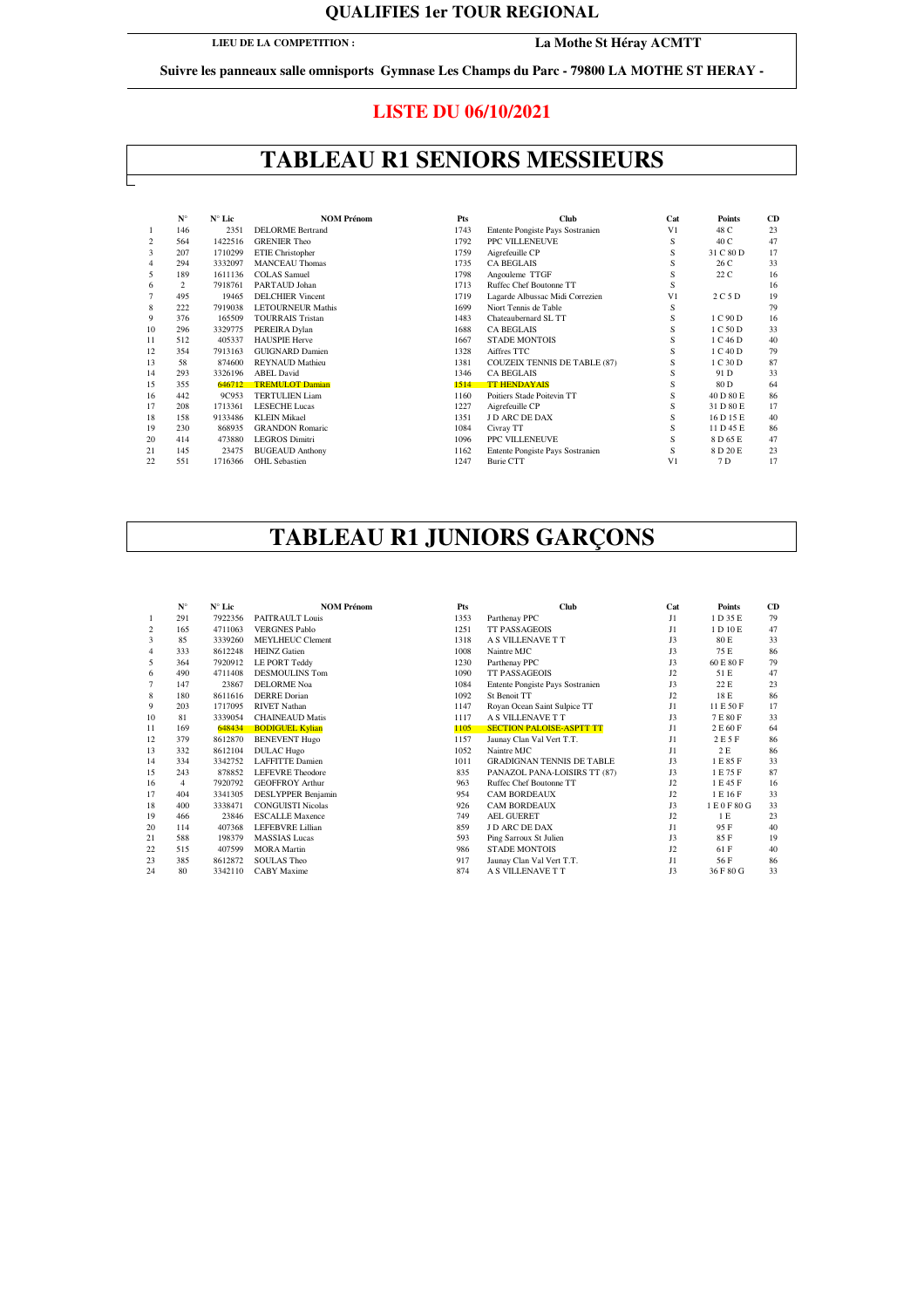### **QUALIFIES 1er TOUR REGIONAL**

**LIEU DE LA COMPETITION :**

**La Mothe St Héray ACMTT**

**Suivre les panneaux salle omnisports Gymnase Les Champs du Parc - 79800 LA MOTHE ST HERAY -** 

### **LISTE DU 06/10/2021**

## **TABLEAU R1 SENIORS MESSIEURS**

|                | $N^{\circ}$    | $N^{\circ}$ Lic | <b>NOM Prénom</b>        | Pts  | <b>Club</b>                         | Cat            | <b>Points</b> | CD |
|----------------|----------------|-----------------|--------------------------|------|-------------------------------------|----------------|---------------|----|
|                | 146            | 2351            | <b>DELORME</b> Bertrand  | 1743 | Entente Pongiste Pays Sostranien    | V <sub>1</sub> | 48 C          | 23 |
| $\overline{c}$ | 564            | 1422516         | <b>GRENIER Theo</b>      | 1792 | PPC VILLENEUVE                      | S              | 40 C          | 47 |
| 3              | 207            | 1710299         | ETIE Christopher         | 1759 | Aigrefeuille CP                     | S              | 31 C 80 D     | 17 |
| 4              | 294            | 3332097         | <b>MANCEAU Thomas</b>    | 1735 | <b>CA BEGLAIS</b>                   | S              | 26 C          | 33 |
| 5              | 189            | 1611136         | <b>COLAS</b> Samuel      | 1798 | Angouleme TTGF                      | S              | 22 C          | 16 |
| 6              | $\overline{2}$ | 7918761         | PARTAUD Johan            | 1713 | Ruffec Chef Boutonne TT             | S              |               | 16 |
| 7              | 495            | 19465           | <b>DELCHIER Vincent</b>  | 1719 | Lagarde Albussac Midi Correzien     | V <sub>1</sub> | 2 C 5 D       | 19 |
| 8              | 222            | 7919038         | <b>LETOURNEUR Mathis</b> | 1699 | Niort Tennis de Table               | S              |               | 79 |
| 9              | 376            | 165509          | <b>TOURRAIS Tristan</b>  | 1483 | Chateaubernard SL TT                | S              | 1 C 90 D      | 16 |
| 10             | 296            | 3329775         | PEREIRA Dylan            | 1688 | <b>CA BEGLAIS</b>                   | S              | 1 C 50 D      | 33 |
| 11             | 512            | 405337          | <b>HAUSPIE Herve</b>     | 1667 | <b>STADE MONTOIS</b>                | S              | 1 C 46 D      | 40 |
| 12             | 354            | 7913163         | <b>GUIGNARD Damien</b>   | 1328 | Aiffres TTC                         | S              | 1 C 40 D      | 79 |
| 13             | 58             | 874600          | <b>REYNAUD</b> Mathieu   | 1381 | <b>COUZEIX TENNIS DE TABLE (87)</b> | S              | 1 C 30 D      | 87 |
| 14             | 293            | 3326196         | <b>ABEL David</b>        | 1346 | <b>CA BEGLAIS</b>                   | S              | 91 D          | 33 |
| 15             | 355            | 646712          | <b>TREMULOT Damian</b>   | 1514 | <b>TT HENDAYAIS</b>                 | S              | 80 D          | 64 |
| 16             | 442            | 9C953           | <b>TERTULIEN Liam</b>    | 1160 | Poitiers Stade Poitevin TT          | S              | 40 D 80 E     | 86 |
| 17             | 208            | 1713361         | <b>LESECHE Lucas</b>     | 1227 | Aigrefeuille CP                     | S              | 31 D 80 E     | 17 |
| 18             | 158            | 9133486         | <b>KLEIN Mikael</b>      | 1351 | J D ARC DE DAX                      | S              | 16 D 15 E     | 40 |
| 19             | 230            | 868935          | <b>GRANDON Romaric</b>   | 1084 | Civray TT                           | S              | 11 D 45 E     | 86 |
| 20             | 414            | 473880          | <b>LEGROS Dimitri</b>    | 1096 | PPC VILLENEUVE                      | S              | 8 D 65 E      | 47 |
| 21             | 145            | 23475           | <b>BUGEAUD Anthony</b>   | 1162 | Entente Pongiste Pays Sostranien    | S              | 8 D 20 E      | 23 |
| 22             | 551            | 1716366         | <b>OHL</b> Sebastien     | 1247 | <b>Burie CTT</b>                    | V <sub>1</sub> | 7 D           | 17 |

# **TABLEAU R1 JUNIORS GARÇONS**

|    | $N^{\circ}$ | $N^{\circ}$ Lic | <b>NOM Prénom</b>         | Pts  | <b>Club</b>                      | Cat            | <b>Points</b> | CD |
|----|-------------|-----------------|---------------------------|------|----------------------------------|----------------|---------------|----|
|    | 291         | 7922356         | PAITRAULT Louis           | 1353 | Parthenay PPC                    | J1             | 1 D 35 E      | 79 |
| 2  | 165         | 4711063         | <b>VERGNES Pablo</b>      | 1251 | <b>TT PASSAGEOIS</b>             | J1             | 1 D 10 E      | 47 |
| 3  | 85          | 3339260         | <b>MEYLHEUC Clement</b>   | 1318 | A S VILLENAVE T T                | J3             | 80 E          | 33 |
| 4  | 333         | 8612248         | <b>HEINZ</b> Gatien       | 1008 | Naintre MJC                      | J3             | 75 E          | 86 |
| 5  | 364         | 7920912         | LE PORT Teddy             | 1230 | Parthenay PPC                    | J3             | 60 E 80 F     | 79 |
| 6  | 490         | 4711408         | <b>DESMOULINS Tom</b>     | 1090 | <b>TT PASSAGEOIS</b>             | J2             | 51 E          | 47 |
| 7  | 147         | 23867           | <b>DELORME</b> Noa        | 1084 | Entente Pongiste Pays Sostranien | J3             | 22 E          | 23 |
| 8  | 180         | 8611616         | <b>DERRE</b> Dorian       | 1092 | St Benoit TT                     | J2             | 18 E          | 86 |
| 9  | 203         | 1717095         | <b>RIVET Nathan</b>       | 1147 | Royan Ocean Saint Sulpice TT     | J1             | 11 E 50 F     | 17 |
| 10 | 81          | 3339054         | <b>CHAINEAUD Matis</b>    | 1117 | A S VILLENAVE T T                | J3             | 7E80F         | 33 |
| 11 | 169         | 648434          | <b>BODIGUEL Kylian</b>    | 1105 | <b>SECTION PALOISE-ASPTT TT</b>  | J1             | 2 E 60 F      | 64 |
| 12 | 379         | 8612870         | <b>BENEVENT Hugo</b>      | 1157 | Jaunay Clan Val Vert T.T.        | J1             | 2 E 5 F       | 86 |
| 13 | 332         | 8612104         | <b>DULAC</b> Hugo         | 1052 | Naintre MJC                      | J1             | 2 E           | 86 |
| 14 | 334         | 3342752         | <b>LAFFITTE Damien</b>    | 1011 | <b>GRADIGNAN TENNIS DE TABLE</b> | J3             | 1 E 85 F      | 33 |
| 15 | 243         | 878852          | <b>LEFEVRE</b> Theodore   | 835  | PANAZOL PANA-LOISIRS TT (87)     | J3             | 1 E 75 F      | 87 |
| 16 | 4           | 7920792         | <b>GEOFFROY Arthur</b>    | 963  | Ruffec Chef Boutonne TT          | J2             | 1 E 45 F      | 16 |
| 17 | 404         | 3341305         | <b>DESLYPPER Benjamin</b> | 954  | <b>CAM BORDEAUX</b>              | J2             | 1 E 16 F      | 33 |
| 18 | 400         | 3338471         | <b>CONGUISTI Nicolas</b>  | 926  | <b>CAM BORDEAUX</b>              | J3             | 1 E 0 F 80 G  | 33 |
| 19 | 466         | 23846           | <b>ESCALLE Maxence</b>    | 749  | <b>AEL GUERET</b>                | J2             | 1 E           | 23 |
| 20 | 114         | 407368          | LEFEBVRE Lillian          | 859  | J D ARC DE DAX                   | J1             | 95 F          | 40 |
| 21 | 588         | 198379          | <b>MASSIAS</b> Lucas      | 593  | Ping Sarroux St Julien           | J3             | 85 F          | 19 |
| 22 | 515         | 407599          | <b>MORA</b> Martin        | 986  | <b>STADE MONTOIS</b>             | J2             | 61 F          | 40 |
| 23 | 385         | 8612872         | <b>SOULAS Theo</b>        | 917  | Jaunay Clan Val Vert T.T.        | J1             | 56 F          | 86 |
| 24 | 80          | 3342110         | <b>CABY</b> Maxime        | 874  | A S VILLENAVE T T                | J <sub>3</sub> | 36 F 80 G     | 33 |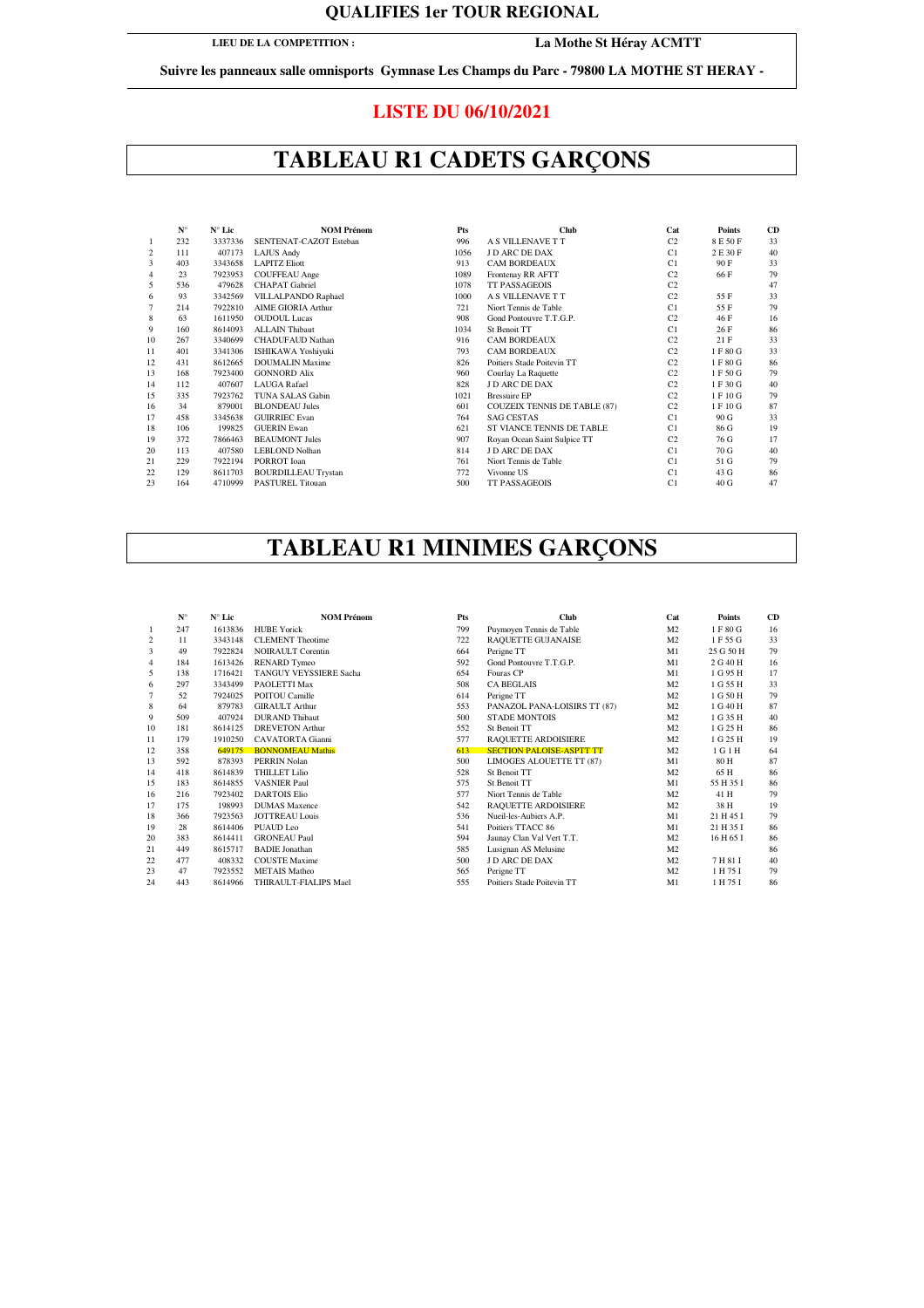### **QUALIFIES 1er TOUR REGIONAL**

### **LIEU DE LA COMPETITION :**

### **La Mothe St Héray ACMTT**

**Suivre les panneaux salle omnisports Gymnase Les Champs du Parc - 79800 LA MOTHE ST HERAY -** 

### **LISTE DU 06/10/2021**

# **TABLEAU R1 CADETS GARÇONS**

|    | $N^{\circ}$ | $N^{\circ}$ Lic | <b>NOM Prénom</b>          | Pts  | <b>Club</b>                         | Cat            | <b>Points</b> | CD |
|----|-------------|-----------------|----------------------------|------|-------------------------------------|----------------|---------------|----|
|    | 232         | 3337336         | SENTENAT-CAZOT Esteban     | 996  | A S VILLENAVE T T                   | C <sub>2</sub> | 8 E 50 F      | 33 |
| 2  | 111         | 407173          | <b>LAJUS Andy</b>          | 1056 | <b>J D ARC DE DAX</b>               | C1             | 2 E 30 F      | 40 |
| 3  | 403         | 3343658         | <b>LAPITZ Eliott</b>       | 913  | <b>CAM BORDEAUX</b>                 | C1             | 90 F          | 33 |
| 4  | 23          | 7923953         | <b>COUFFEAU</b> Ange       | 1089 | Frontenay RR AFTT                   | C <sub>2</sub> | 66 F          | 79 |
| 5  | 536         | 479628          | <b>CHAPAT</b> Gabriel      | 1078 | <b>TT PASSAGEOIS</b>                | C <sub>2</sub> |               | 47 |
| 6  | 93          | 3342569         | VILLALPANDO Raphael        | 1000 | A S VILLENAVE T T                   | C <sub>2</sub> | 55 F          | 33 |
| 7  | 214         | 7922810         | <b>AIME GIORIA Arthur</b>  | 721  | Niort Tennis de Table               | C1             | 55 F          | 79 |
| 8  | 63          | 1611950         | <b>OUDOUL Lucas</b>        | 908  | Gond Pontouvre T.T.G.P.             | C <sub>2</sub> | 46 F          | 16 |
| 9  | 160         | 8614093         | <b>ALLAIN Thibaut</b>      | 1034 | St Benoit TT                        | C1             | 26 F          | 86 |
| 10 | 267         | 3340699         | <b>CHADUFAUD Nathan</b>    | 916  | <b>CAM BORDEAUX</b>                 | C <sub>2</sub> | 21F           | 33 |
| 11 | 401         | 3341306         | <b>ISHIKAWA Yoshiyuki</b>  | 793  | <b>CAM BORDEAUX</b>                 | C <sub>2</sub> | 1 F 80 G      | 33 |
| 12 | 431         | 8612665         | <b>DOUMALIN Maxime</b>     | 826  | Poitiers Stade Poitevin TT          | C <sub>2</sub> | 1 F 80 G      | 86 |
| 13 | 168         | 7923400         | <b>GONNORD Alix</b>        | 960  | Courlay La Raquette                 | C <sub>2</sub> | 1 F 50 G      | 79 |
| 14 | 112         | 407607          | <b>LAUGA</b> Rafael        | 828  | J D ARC DE DAX                      | C <sub>2</sub> | 1 F 30 G      | 40 |
| 15 | 335         | 7923762         | <b>TUNA SALAS Gabin</b>    | 1021 | <b>Bressuire EP</b>                 | C <sub>2</sub> | 1 F 10 G      | 79 |
| 16 | 34          | 879001          | <b>BLONDEAU</b> Jules      | 601  | <b>COUZEIX TENNIS DE TABLE (87)</b> | C <sub>2</sub> | 1 F 10 G      | 87 |
| 17 | 458         | 3345638         | <b>GUIRRIEC Evan</b>       | 764  | <b>SAG CESTAS</b>                   | C1             | 90G           | 33 |
| 18 | 106         | 199825          | <b>GUERIN Ewan</b>         | 621  | ST VIANCE TENNIS DE TABLE           | C1             | 86 G          | 19 |
| 19 | 372         | 7866463         | <b>BEAUMONT Jules</b>      | 907  | Royan Ocean Saint Sulpice TT        | C <sub>2</sub> | 76 G          | 17 |
| 20 | 113         | 407580          | <b>LEBLOND Nolhan</b>      | 814  | J D ARC DE DAX                      | C1             | 70 G          | 40 |
| 21 | 229         | 7922194         | PORROT Ioan                | 761  | Niort Tennis de Table               | C1             | 51 G          | 79 |
| 22 | 129         | 8611703         | <b>BOURDILLEAU Trystan</b> | 772  | Vivonne US                          | C1             | 43 G          | 86 |
| 23 | 164         | 4710999         | <b>PASTUREL Titouan</b>    | 500  | <b>TT PASSAGEOIS</b>                | C <sub>1</sub> | 40 G          | 47 |
|    |             |                 |                            |      |                                     |                |               |    |

# **TABLEAU R1 MINIMES GARÇONS**

|    | $N^{\circ}$ | $N^{\circ}$ Lic | <b>NOM Prénom</b>        | Pts | Club                            | Cat            | Points    | CD |
|----|-------------|-----------------|--------------------------|-----|---------------------------------|----------------|-----------|----|
|    | 247         | 1613836         | <b>HUBE</b> Yorick       | 799 | Puymoyen Tennis de Table        | M <sub>2</sub> | 1 F 80 G  | 16 |
| 2  | 11          | 3343148         | <b>CLEMENT</b> Theotime  | 722 | RAQUETTE GUJANAISE              | M <sub>2</sub> | 1 F 55 G  | 33 |
| 3  | 49          | 7922824         | <b>NOIRAULT Corentin</b> | 664 | Perigne TT                      | M1             | 25 G 50 H | 79 |
| 4  | 184         | 1613426         | <b>RENARD</b> Tymeo      | 592 | Gond Pontouvre T.T.G.P.         | M1             | 2 G 40 H  | 16 |
| 5  | 138         | 1716421         | TANGUY VEYSSIERE Sacha   | 654 | Fouras CP                       | M1             | 1 G 95 H  | 17 |
| 6  | 297         | 3343499         | PAOLETTI Max             | 508 | <b>CA BEGLAIS</b>               | M <sub>2</sub> | 1 G 55 H  | 33 |
|    | 52          | 7924025         | POITOU Camille           | 614 | Perigne TT                      | M <sub>2</sub> | 1 G 50 H  | 79 |
| 8  | 64          | 879783          | <b>GIRAULT</b> Arthur    | 553 | PANAZOL PANA-LOISIRS TT (87)    | M <sub>2</sub> | 1 G 40 H  | 87 |
| 9  | 509         | 407924          | <b>DURAND</b> Thibaut    | 500 | <b>STADE MONTOIS</b>            | M <sub>2</sub> | 1 G 35 H  | 40 |
| 10 | 181         | 8614125         | <b>DREVETON Arthur</b>   | 552 | St Benoit TT                    | M <sub>2</sub> | 1 G 25 H  | 86 |
| 11 | 179         | 1910250         | <b>CAVATORTA</b> Gianni  | 577 | RAQUETTE ARDOISIERE             | M <sub>2</sub> | 1 G 25 H  | 19 |
| 12 | 358         | 649175          | <b>BONNOMEAU Mathis</b>  | 613 | <b>SECTION PALOISE-ASPTT TT</b> | M <sub>2</sub> | 1 G 1 H   | 64 |
| 13 | 592         | 878393          | PERRIN Nolan             | 500 | LIMOGES ALOUETTE TT (87)        | M1             | 80 H      | 87 |
| 14 | 418         | 8614839         | <b>THILLET Lilio</b>     | 528 | St Benoit TT                    | M <sub>2</sub> | 65 H      | 86 |
| 15 | 183         | 8614855         | <b>VASNIER Paul</b>      | 575 | St Benoit TT                    | M1             | 55 H 35 I | 86 |
| 16 | 216         | 7923402         | <b>DARTOIS Elio</b>      | 577 | Niort Tennis de Table           | M <sub>2</sub> | 41 H      | 79 |
| 17 | 175         | 198993          | <b>DUMAS</b> Maxence     | 542 | RAQUETTE ARDOISIERE             | M <sub>2</sub> | 38 H      | 19 |
| 18 | 366         | 7923563         | <b>JOTTREAU Louis</b>    | 536 | Nueil-les-Aubiers A.P.          | M1             | 21 H 45 I | 79 |
| 19 | 28          | 8614406         | PUAUD Leo                | 541 | Poitiers TTACC 86               | M1             | 21 H 35 I | 86 |
| 20 | 383         | 8614411         | <b>GRONEAU Paul</b>      | 594 | Jaunay Clan Val Vert T.T.       | M <sub>2</sub> | 16 H 65 I | 86 |
| 21 | 449         | 8615717         | <b>BADIE</b> Jonathan    | 585 | Lusignan AS Melusine            | M <sub>2</sub> |           | 86 |
| 22 | 477         | 408332          | <b>COUSTE Maxime</b>     | 500 | J D ARC DE DAX                  | M <sub>2</sub> | 7 H 81 I  | 40 |
| 23 | 47          | 7923552         | <b>METAIS</b> Matheo     | 565 | Perigne TT                      | M <sub>2</sub> | 1 H 75 I  | 79 |
| 24 | 443         | 8614966         | THIRAULT-FIALIPS Mael    | 555 | Poitiers Stade Poitevin TT      | M1             | 1 H 75 I  | 86 |
|    |             |                 |                          |     |                                 |                |           |    |